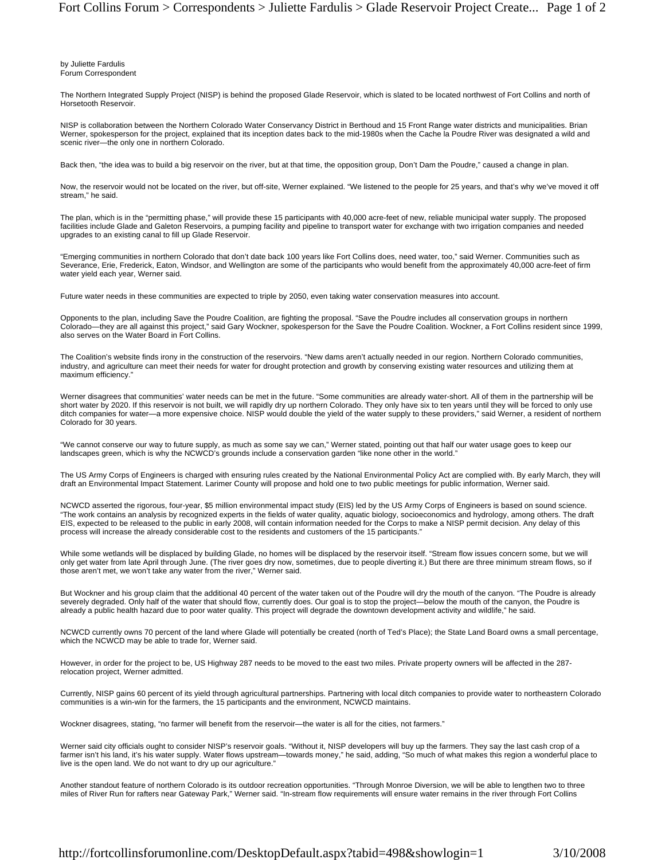by Juliette Fardulis Forum Correspondent

The Northern Integrated Supply Project (NISP) is behind the proposed Glade Reservoir, which is slated to be located northwest of Fort Collins and north of Horsetooth Reservoir.

NISP is collaboration between the Northern Colorado Water Conservancy District in Berthoud and 15 Front Range water districts and municipalities. Brian Werner, spokesperson for the project, explained that its inception dates back to the mid-1980s when the Cache la Poudre River was designated a wild and scenic river—the only one in northern Colorado.

Back then, "the idea was to build a big reservoir on the river, but at that time, the opposition group, Don't Dam the Poudre," caused a change in plan.

Now, the reservoir would not be located on the river, but off-site, Werner explained. "We listened to the people for 25 years, and that's why we've moved it off stream," he said.

The plan, which is in the "permitting phase," will provide these 15 participants with 40,000 acre-feet of new, reliable municipal water supply. The proposed facilities include Glade and Galeton Reservoirs, a pumping facility and pipeline to transport water for exchange with two irrigation companies and needed upgrades to an existing canal to fill up Glade Reservoir.

"Emerging communities in northern Colorado that don't date back 100 years like Fort Collins does, need water, too," said Werner. Communities such as Severance, Erie, Frederick, Eaton, Windsor, and Wellington are some of the participants who would benefit from the approximately 40,000 acre-feet of firm water yield each year, Werner said.

Future water needs in these communities are expected to triple by 2050, even taking water conservation measures into account.

Opponents to the plan, including Save the Poudre Coalition, are fighting the proposal. "Save the Poudre includes all conservation groups in northern Colorado—they are all against this project," said Gary Wockner, spokesperson for the Save the Poudre Coalition. Wockner, a Fort Collins resident since 1999, also serves on the Water Board in Fort Collins.

The Coalition's website finds irony in the construction of the reservoirs. "New dams aren't actually needed in our region. Northern Colorado communities, industry, and agriculture can meet their needs for water for drought protection and growth by conserving existing water resources and utilizing them at maximum efficiency."

Werner disagrees that communities' water needs can be met in the future. "Some communities are already water-short. All of them in the partnership will be short water by 2020. If this reservoir is not built, we will rapidly dry up northern Colorado. They only have six to ten years until they will be forced to only use ditch companies for water—a more expensive choice. NISP would double the yield of the water supply to these providers," said Werner, a resident of northern Colorado for 30 years.

"We cannot conserve our way to future supply, as much as some say we can," Werner stated, pointing out that half our water usage goes to keep our landscapes green, which is why the NCWCD's grounds include a conservation garden "like none other in the world."

The US Army Corps of Engineers is charged with ensuring rules created by the National Environmental Policy Act are complied with. By early March, they will draft an Environmental Impact Statement. Larimer County will propose and hold one to two public meetings for public information, Werner said.

NCWCD asserted the rigorous, four-year, \$5 million environmental impact study (EIS) led by the US Army Corps of Engineers is based on sound science. "The work contains an analysis by recognized experts in the fields of water quality, aquatic biology, socioeconomics and hydrology, among others. The draft EIS, expected to be released to the public in early 2008, will contain information needed for the Corps to make a NISP permit decision. Any delay of this process will increase the already considerable cost to the residents and customers of the 15 participants."

While some wetlands will be displaced by building Glade, no homes will be displaced by the reservoir itself. "Stream flow issues concern some, but we will only get water from late April through June. (The river goes dry now, sometimes, due to people diverting it.) But there are three minimum stream flows, so if those aren't met, we won't take any water from the river," Werner said.

But Wockner and his group claim that the additional 40 percent of the water taken out of the Poudre will dry the mouth of the canyon. "The Poudre is already severely degraded. Only half of the water that should flow, currently does. Our goal is to stop the project—below the mouth of the canyon, the Poudre is already a public health hazard due to poor water quality. This project will degrade the downtown development activity and wildlife," he said.

NCWCD currently owns 70 percent of the land where Glade will potentially be created (north of Ted's Place); the State Land Board owns a small percentage, which the NCWCD may be able to trade for, Werner said.

However, in order for the project to be, US Highway 287 needs to be moved to the east two miles. Private property owners will be affected in the 287 relocation project, Werner admitted.

Currently, NISP gains 60 percent of its yield through agricultural partnerships. Partnering with local ditch companies to provide water to northeastern Colorado communities is a win-win for the farmers, the 15 participants and the environment, NCWCD maintains.

Wockner disagrees, stating, "no farmer will benefit from the reservoir—the water is all for the cities, not farmers."

Werner said city officials ought to consider NISP's reservoir goals. "Without it, NISP developers will buy up the farmers. They say the last cash crop of a<br>farmer isn't his land, it's his water supply. Water flows upstream live is the open land. We do not want to dry up our agriculture."

Another standout feature of northern Colorado is its outdoor recreation opportunities. "Through Monroe Diversion, we will be able to lengthen two to three miles of River Run for rafters near Gateway Park," Werner said. "In-stream flow requirements will ensure water remains in the river through Fort Collins

http://fortcollinsforumonline.com/DesktopDefault.aspx?tabid=498&showlogin=1 3/10/2008